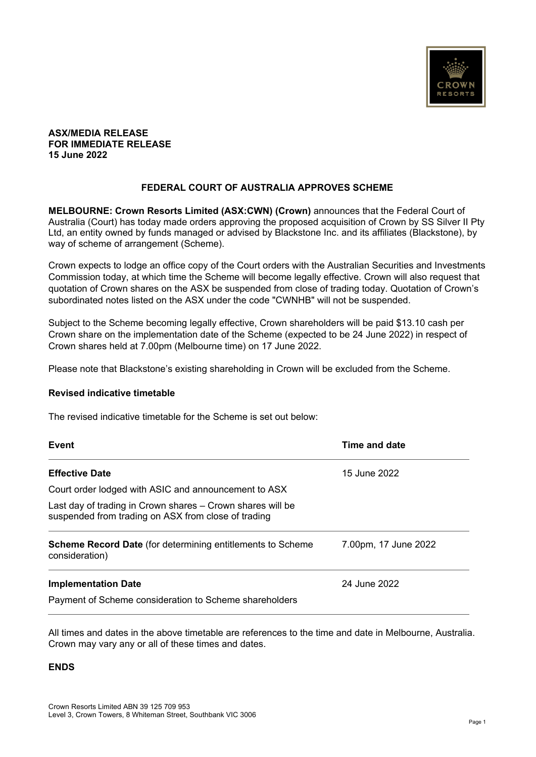

#### **ASX/MEDIA RELEASE FOR IMMEDIATE RELEASE 15 June 2022**

## **FEDERAL COURT OF AUSTRALIA APPROVES SCHEME**

**MELBOURNE: Crown Resorts Limited (ASX:CWN) (Crown)** announces that the Federal Court of Australia (Court) has today made orders approving the proposed acquisition of Crown by SS Silver II Pty Ltd, an entity owned by funds managed or advised by Blackstone Inc. and its affiliates (Blackstone), by way of scheme of arrangement (Scheme).

Crown expects to lodge an office copy of the Court orders with the Australian Securities and Investments Commission today, at which time the Scheme will become legally effective. Crown will also request that quotation of Crown shares on the ASX be suspended from close of trading today. Quotation of Crown's subordinated notes listed on the ASX under the code "CWNHB" will not be suspended.

Subject to the Scheme becoming legally effective, Crown shareholders will be paid \$13.10 cash per Crown share on the implementation date of the Scheme (expected to be 24 June 2022) in respect of Crown shares held at 7.00pm (Melbourne time) on 17 June 2022.

Please note that Blackstone's existing shareholding in Crown will be excluded from the Scheme.

### **Revised indicative timetable**

The revised indicative timetable for the Scheme is set out below:

| <b>Event</b>                                                                                                      | Time and date        |
|-------------------------------------------------------------------------------------------------------------------|----------------------|
| <b>Effective Date</b>                                                                                             | 15 June 2022         |
| Court order lodged with ASIC and announcement to ASX                                                              |                      |
| Last day of trading in Crown shares – Crown shares will be<br>suspended from trading on ASX from close of trading |                      |
| <b>Scheme Record Date</b> (for determining entitlements to Scheme<br>consideration)                               | 7.00pm, 17 June 2022 |
| <b>Implementation Date</b>                                                                                        | 24 June 2022         |
| Payment of Scheme consideration to Scheme shareholders                                                            |                      |

All times and dates in the above timetable are references to the time and date in Melbourne, Australia. Crown may vary any or all of these times and dates.

### **ENDS**